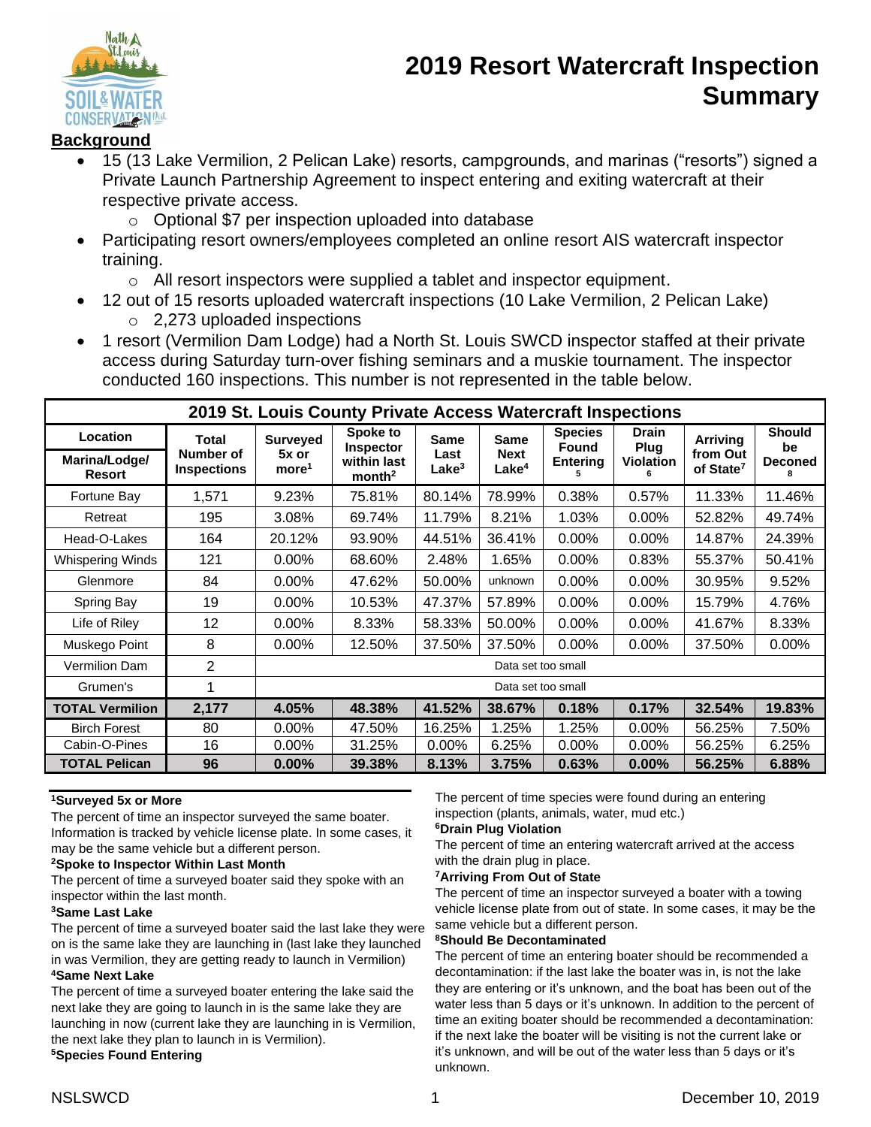

# **2019 Resort Watercraft Inspection Summary**

## **Background**

- 15 (13 Lake Vermilion, 2 Pelican Lake) resorts, campgrounds, and marinas ("resorts") signed a Private Launch Partnership Agreement to inspect entering and exiting watercraft at their respective private access.
	- o Optional \$7 per inspection uploaded into database
- Participating resort owners/employees completed an online resort AIS watercraft inspector training.
	- o All resort inspectors were supplied a tablet and inspector equipment.
- 12 out of 15 resorts uploaded watercraft inspections (10 Lake Vermilion, 2 Pelican Lake) o 2,273 uploaded inspections
- 1 resort (Vermilion Dam Lodge) had a North St. Louis SWCD inspector staffed at their private access during Saturday turn-over fishing seminars and a muskie tournament. The inspector conducted 160 inspections. This number is not represented in the table below.

| 2019 St. Louis County Private Access Watercraft Inspections |                                 |                            |                                   |                           |                                  |                                |                      |                                   |                     |  |
|-------------------------------------------------------------|---------------------------------|----------------------------|-----------------------------------|---------------------------|----------------------------------|--------------------------------|----------------------|-----------------------------------|---------------------|--|
| <b>Location</b>                                             | Total                           | <b>Surveyed</b>            | Spoke to<br>Inspector             | <b>Same</b>               | <b>Same</b>                      | <b>Species</b><br><b>Found</b> | <b>Drain</b><br>Plug | Arriving                          | <b>Should</b><br>be |  |
| Marina/Lodge/<br><b>Resort</b>                              | Number of<br><b>Inspections</b> | 5x or<br>more <sup>1</sup> | within last<br>month <sup>2</sup> | Last<br>Lake <sup>3</sup> | <b>Next</b><br>Lake <sup>4</sup> | <b>Entering</b>                | <b>Violation</b>     | from Out<br>of State <sup>7</sup> | <b>Deconed</b>      |  |
| Fortune Bay                                                 | 1,571                           | 9.23%                      | 75.81%                            | 80.14%                    | 78.99%                           | 0.38%                          | 0.57%                | 11.33%                            | 11.46%              |  |
| Retreat                                                     | 195                             | 3.08%                      | 69.74%                            | 11.79%                    | 8.21%                            | 1.03%                          | 0.00%                | 52.82%                            | 49.74%              |  |
| Head-O-Lakes                                                | 164                             | 20.12%                     | 93.90%                            | 44.51%                    | 36.41%                           | 0.00%                          | 0.00%                | 14.87%                            | 24.39%              |  |
| Whispering Winds                                            | 121                             | 0.00%                      | 68.60%                            | 2.48%                     | 1.65%                            | 0.00%                          | 0.83%                | 55.37%                            | 50.41%              |  |
| Glenmore                                                    | 84                              | $0.00\%$                   | 47.62%                            | 50.00%                    | unknown                          | 0.00%                          | 0.00%                | 30.95%                            | 9.52%               |  |
| Spring Bay                                                  | 19                              | $0.00\%$                   | 10.53%                            | 47.37%                    | 57.89%                           | 0.00%                          | $0.00\%$             | 15.79%                            | 4.76%               |  |
| Life of Riley                                               | 12                              | $0.00\%$                   | 8.33%                             | 58.33%                    | 50.00%                           | 0.00%                          | 0.00%                | 41.67%                            | 8.33%               |  |
| Muskego Point                                               | 8                               | 0.00%                      | 12.50%                            | 37.50%                    | 37.50%                           | 0.00%                          | 0.00%                | 37.50%                            | 0.00%               |  |
| <b>Vermilion Dam</b>                                        | 2                               | Data set too small         |                                   |                           |                                  |                                |                      |                                   |                     |  |
| Grumen's                                                    |                                 | Data set too small         |                                   |                           |                                  |                                |                      |                                   |                     |  |
| <b>TOTAL Vermilion</b>                                      | 2,177                           | 4.05%                      | 48.38%                            | 41.52%                    | 38.67%                           | 0.18%                          | 0.17%                | 32.54%                            | 19.83%              |  |
| <b>Birch Forest</b>                                         | 80                              | 0.00%                      | 47.50%                            | 16.25%                    | 1.25%                            | 1.25%                          | 0.00%                | 56.25%                            | 7.50%               |  |
| Cabin-O-Pines                                               | 16                              | $0.00\%$                   | 31.25%                            | $0.00\%$                  | 6.25%                            | $0.00\%$                       | $0.00\%$             | 56.25%                            | 6.25%               |  |
| <b>TOTAL Pelican</b>                                        | 96                              | $0.00\%$                   | 39.38%                            | 8.13%                     | 3.75%                            | 0.63%                          | 0.00%                | 56.25%                            | 6.88%               |  |

## **<sup>1</sup>Surveyed 5x or More**

The percent of time an inspector surveyed the same boater. Information is tracked by vehicle license plate. In some cases, it may be the same vehicle but a different person.

#### **<sup>2</sup>Spoke to Inspector Within Last Month**

The percent of time a surveyed boater said they spoke with an inspector within the last month.

#### **<sup>3</sup>Same Last Lake**

The percent of time a surveyed boater said the last lake they were on is the same lake they are launching in (last lake they launched in was Vermilion, they are getting ready to launch in Vermilion)

### **<sup>4</sup>Same Next Lake**

The percent of time a surveyed boater entering the lake said the next lake they are going to launch in is the same lake they are launching in now (current lake they are launching in is Vermilion, the next lake they plan to launch in is Vermilion).

#### **<sup>5</sup>Species Found Entering**

The percent of time species were found during an entering inspection (plants, animals, water, mud etc.)

#### **<sup>6</sup>Drain Plug Violation**

The percent of time an entering watercraft arrived at the access with the drain plug in place.

#### **<sup>7</sup>Arriving From Out of State**

The percent of time an inspector surveyed a boater with a towing vehicle license plate from out of state. In some cases, it may be the same vehicle but a different person.

#### **<sup>8</sup>Should Be Decontaminated**

The percent of time an entering boater should be recommended a decontamination: if the last lake the boater was in, is not the lake they are entering or it's unknown, and the boat has been out of the water less than 5 days or it's unknown. In addition to the percent of time an exiting boater should be recommended a decontamination: if the next lake the boater will be visiting is not the current lake or it's unknown, and will be out of the water less than 5 days or it's unknown.